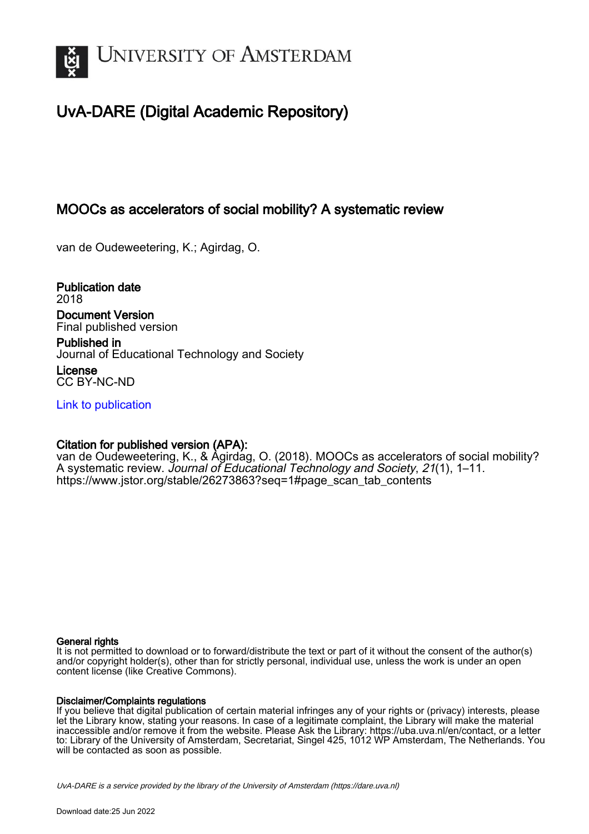

# UvA-DARE (Digital Academic Repository)

# MOOCs as accelerators of social mobility? A systematic review

van de Oudeweetering, K.; Agirdag, O.

Publication date 2018 Document Version

Final published version

Published in Journal of Educational Technology and Society License

CC BY-NC-ND

[Link to publication](https://dare.uva.nl/personal/pure/en/publications/moocs-as-accelerators-of-social-mobility-a-systematic-review(e9d9e1af-51d6-4849-aa55-20b025f32e8d).html)

## Citation for published version (APA):

van de Oudeweetering, K., & Agirdag, O. (2018). MOOCs as accelerators of social mobility? A systematic review. Journal of Educational Technology and Society, 21(1), 1–11. [https://www.jstor.org/stable/26273863?seq=1#page\\_scan\\_tab\\_contents](https://www.jstor.org/stable/26273863?seq=1#page_scan_tab_contents)

## General rights

It is not permitted to download or to forward/distribute the text or part of it without the consent of the author(s) and/or copyright holder(s), other than for strictly personal, individual use, unless the work is under an open content license (like Creative Commons).

## Disclaimer/Complaints regulations

If you believe that digital publication of certain material infringes any of your rights or (privacy) interests, please let the Library know, stating your reasons. In case of a legitimate complaint, the Library will make the material inaccessible and/or remove it from the website. Please Ask the Library: https://uba.uva.nl/en/contact, or a letter to: Library of the University of Amsterdam, Secretariat, Singel 425, 1012 WP Amsterdam, The Netherlands. You will be contacted as soon as possible.

UvA-DARE is a service provided by the library of the University of Amsterdam (http*s*://dare.uva.nl)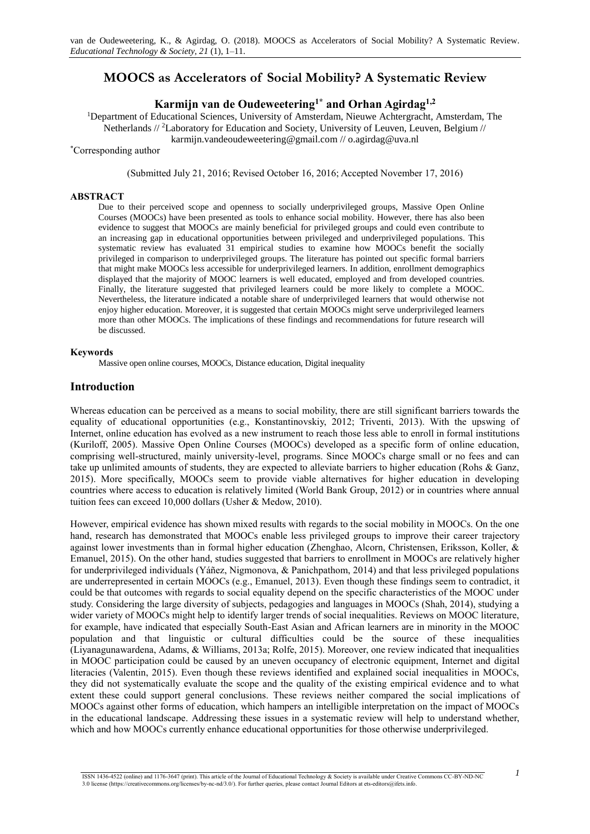# **MOOCS as Accelerators of Social Mobility? A Systematic Review**

## **Karmijn van de Oudeweetering1\* and Orhan Agirdag1,2**

<sup>1</sup>Department of Educational Sciences, University of Amsterdam, Nieuwe Achtergracht, Amsterdam, The Netherlands // <sup>2</sup>Laboratory for Education and Society, University of Leuven, Leuven, Belgium //

karmijn.vandeoudeweetering@gmail.com // o.agirdag@uva.nl

## \*Corresponding author

(Submitted July 21, 2016; Revised October 16, 2016; Accepted November 17, 2016)

### **ABSTRACT**

Due to their perceived scope and openness to socially underprivileged groups, Massive Open Online Courses (MOOCs) have been presented as tools to enhance social mobility. However, there has also been evidence to suggest that MOOCs are mainly beneficial for privileged groups and could even contribute to an increasing gap in educational opportunities between privileged and underprivileged populations. This systematic review has evaluated 31 empirical studies to examine how MOOCs benefit the socially privileged in comparison to underprivileged groups. The literature has pointed out specific formal barriers that might make MOOCs less accessible for underprivileged learners. In addition, enrollment demographics displayed that the majority of MOOC learners is well educated, employed and from developed countries. Finally, the literature suggested that privileged learners could be more likely to complete a MOOC. Nevertheless, the literature indicated a notable share of underprivileged learners that would otherwise not enjoy higher education. Moreover, it is suggested that certain MOOCs might serve underprivileged learners more than other MOOCs. The implications of these findings and recommendations for future research will be discussed.

## **Keywords**

Massive open online courses, MOOCs, Distance education, Digital inequality

## **Introduction**

Whereas education can be perceived as a means to social mobility, there are still significant barriers towards the equality of educational opportunities (e.g., Konstantinovskiy, 2012; Triventi, 2013). With the upswing of Internet, online education has evolved as a new instrument to reach those less able to enroll in formal institutions (Kuriloff, 2005). Massive Open Online Courses (MOOCs) developed as a specific form of online education, comprising well-structured, mainly university-level, programs. Since MOOCs charge small or no fees and can take up unlimited amounts of students, they are expected to alleviate barriers to higher education (Rohs & Ganz, 2015). More specifically, MOOCs seem to provide viable alternatives for higher education in developing countries where access to education is relatively limited (World Bank Group, 2012) or in countries where annual tuition fees can exceed 10,000 dollars (Usher & Medow, 2010).

However, empirical evidence has shown mixed results with regards to the social mobility in MOOCs. On the one hand, research has demonstrated that MOOCs enable less privileged groups to improve their career trajectory against lower investments than in formal higher education (Zhenghao, Alcorn, Christensen, Eriksson, Koller, & Emanuel, 2015). On the other hand, studies suggested that barriers to enrollment in MOOCs are relatively higher for underprivileged individuals (Yáñez, Nigmonova, & Panichpathom, 2014) and that less privileged populations are underrepresented in certain MOOCs (e.g., Emanuel, 2013). Even though these findings seem to contradict, it could be that outcomes with regards to social equality depend on the specific characteristics of the MOOC under study. Considering the large diversity of subjects, pedagogies and languages in MOOCs (Shah, 2014), studying a wider variety of MOOCs might help to identify larger trends of social inequalities. Reviews on MOOC literature, for example, have indicated that especially South-East Asian and African learners are in minority in the MOOC population and that linguistic or cultural difficulties could be the source of these inequalities (Liyanagunawardena, Adams, & Williams, 2013a; Rolfe, 2015). Moreover, one review indicated that inequalities in MOOC participation could be caused by an uneven occupancy of electronic equipment, Internet and digital literacies (Valentin, 2015). Even though these reviews identified and explained social inequalities in MOOCs, they did not systematically evaluate the scope and the quality of the existing empirical evidence and to what extent these could support general conclusions. These reviews neither compared the social implications of MOOCs against other forms of education, which hampers an intelligible interpretation on the impact of MOOCs in the educational landscape. Addressing these issues in a systematic review will help to understand whether, which and how MOOCs currently enhance educational opportunities for those otherwise underprivileged.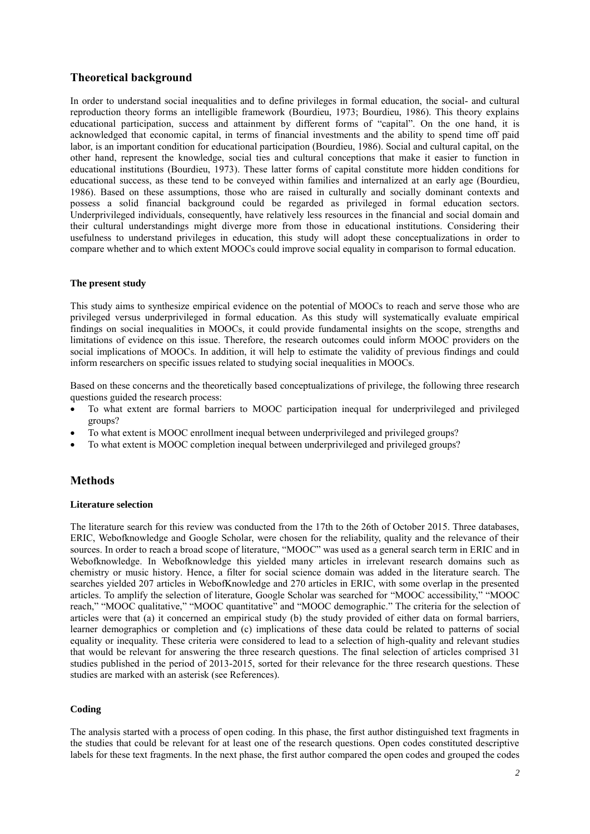## **Theoretical background**

In order to understand social inequalities and to define privileges in formal education, the social- and cultural reproduction theory forms an intelligible framework (Bourdieu, 1973; Bourdieu, 1986). This theory explains educational participation, success and attainment by different forms of "capital". On the one hand, it is acknowledged that economic capital, in terms of financial investments and the ability to spend time off paid labor, is an important condition for educational participation (Bourdieu, 1986). Social and cultural capital, on the other hand, represent the knowledge, social ties and cultural conceptions that make it easier to function in educational institutions (Bourdieu, 1973). These latter forms of capital constitute more hidden conditions for educational success, as these tend to be conveyed within families and internalized at an early age (Bourdieu, 1986). Based on these assumptions, those who are raised in culturally and socially dominant contexts and possess a solid financial background could be regarded as privileged in formal education sectors. Underprivileged individuals, consequently, have relatively less resources in the financial and social domain and their cultural understandings might diverge more from those in educational institutions. Considering their usefulness to understand privileges in education, this study will adopt these conceptualizations in order to compare whether and to which extent MOOCs could improve social equality in comparison to formal education.

### **The present study**

This study aims to synthesize empirical evidence on the potential of MOOCs to reach and serve those who are privileged versus underprivileged in formal education. As this study will systematically evaluate empirical findings on social inequalities in MOOCs, it could provide fundamental insights on the scope, strengths and limitations of evidence on this issue. Therefore, the research outcomes could inform MOOC providers on the social implications of MOOCs. In addition, it will help to estimate the validity of previous findings and could inform researchers on specific issues related to studying social inequalities in MOOCs.

Based on these concerns and the theoretically based conceptualizations of privilege, the following three research questions guided the research process:

- To what extent are formal barriers to MOOC participation inequal for underprivileged and privileged groups?
- To what extent is MOOC enrollment inequal between underprivileged and privileged groups?
- To what extent is MOOC completion inequal between underprivileged and privileged groups?

## **Methods**

#### **Literature selection**

The literature search for this review was conducted from the 17th to the 26th of October 2015. Three databases, ERIC, Webofknowledge and Google Scholar, were chosen for the reliability, quality and the relevance of their sources. In order to reach a broad scope of literature, "MOOC" was used as a general search term in ERIC and in Webofknowledge. In Webofknowledge this yielded many articles in irrelevant research domains such as chemistry or music history. Hence, a filter for social science domain was added in the literature search. The searches yielded 207 articles in WebofKnowledge and 270 articles in ERIC, with some overlap in the presented articles. To amplify the selection of literature, Google Scholar was searched for "MOOC accessibility," "MOOC reach," "MOOC qualitative," "MOOC quantitative" and "MOOC demographic." The criteria for the selection of articles were that (a) it concerned an empirical study (b) the study provided of either data on formal barriers, learner demographics or completion and (c) implications of these data could be related to patterns of social equality or inequality. These criteria were considered to lead to a selection of high-quality and relevant studies that would be relevant for answering the three research questions. The final selection of articles comprised 31 studies published in the period of 2013-2015, sorted for their relevance for the three research questions. These studies are marked with an asterisk (see References).

## **Coding**

The analysis started with a process of open coding. In this phase, the first author distinguished text fragments in the studies that could be relevant for at least one of the research questions. Open codes constituted descriptive labels for these text fragments. In the next phase, the first author compared the open codes and grouped the codes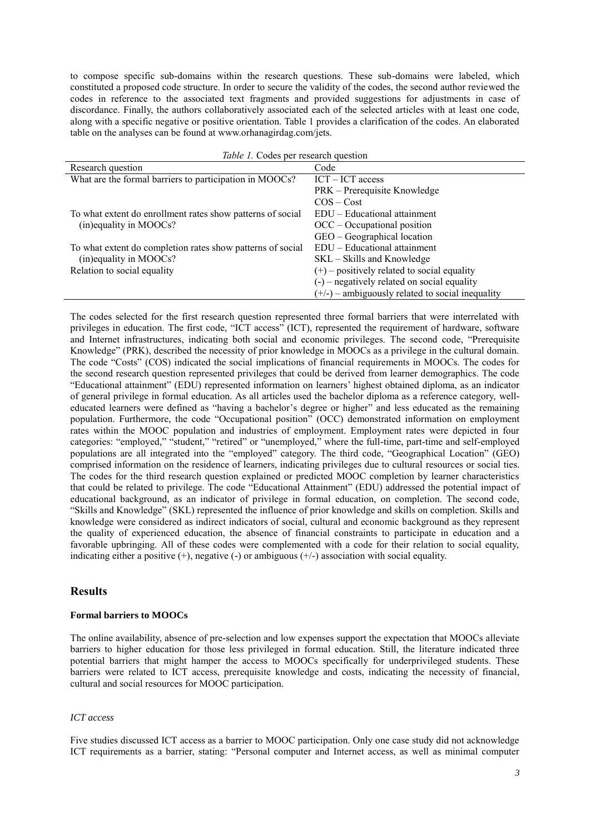to compose specific sub-domains within the research questions. These sub-domains were labeled, which constituted a proposed code structure. In order to secure the validity of the codes, the second author reviewed the codes in reference to the associated text fragments and provided suggestions for adjustments in case of discordance. Finally, the authors collaboratively associated each of the selected articles with at least one code, along with a specific negative or positive orientation. Table 1 provides a clarification of the codes. An elaborated table on the analyses can be found at www.orhanagirdag.com/jets.

| Table 1. Codes per research question                       |                                                    |  |  |  |  |
|------------------------------------------------------------|----------------------------------------------------|--|--|--|--|
| Research question                                          | Code                                               |  |  |  |  |
| What are the formal barriers to participation in MOOCs?    | $ICT - ICT$ access                                 |  |  |  |  |
|                                                            | PRK – Prerequisite Knowledge                       |  |  |  |  |
|                                                            | $COS - Cost$                                       |  |  |  |  |
| To what extent do enrollment rates show patterns of social | $EDU - Educational$ attainment                     |  |  |  |  |
| (in)equality in MOOCs?                                     | $OCC - Occupational position$                      |  |  |  |  |
|                                                            | $GEO - Geographical location$                      |  |  |  |  |
| To what extent do completion rates show patterns of social | EDU – Educational attainment                       |  |  |  |  |
| (in)equality in MOOCs?                                     | SKL – Skills and Knowledge                         |  |  |  |  |
| Relation to social equality                                | $(+)$ – positively related to social equality      |  |  |  |  |
|                                                            | $(-)$ – negatively related on social equality      |  |  |  |  |
|                                                            | $(+/-)$ – ambiguously related to social inequality |  |  |  |  |

The codes selected for the first research question represented three formal barriers that were interrelated with privileges in education. The first code, "ICT access" (ICT), represented the requirement of hardware, software and Internet infrastructures, indicating both social and economic privileges. The second code, "Prerequisite Knowledge" (PRK), described the necessity of prior knowledge in MOOCs as a privilege in the cultural domain. The code "Costs" (COS) indicated the social implications of financial requirements in MOOCs. The codes for the second research question represented privileges that could be derived from learner demographics. The code "Educational attainment" (EDU) represented information on learners' highest obtained diploma, as an indicator of general privilege in formal education. As all articles used the bachelor diploma as a reference category, welleducated learners were defined as "having a bachelor's degree or higher" and less educated as the remaining population. Furthermore, the code "Occupational position" (OCC) demonstrated information on employment rates within the MOOC population and industries of employment. Employment rates were depicted in four categories: "employed," "student," "retired" or "unemployed," where the full-time, part-time and self-employed populations are all integrated into the "employed" category. The third code, "Geographical Location" (GEO) comprised information on the residence of learners, indicating privileges due to cultural resources or social ties. The codes for the third research question explained or predicted MOOC completion by learner characteristics that could be related to privilege. The code "Educational Attainment" (EDU) addressed the potential impact of educational background, as an indicator of privilege in formal education, on completion. The second code, "Skills and Knowledge" (SKL) represented the influence of prior knowledge and skills on completion. Skills and knowledge were considered as indirect indicators of social, cultural and economic background as they represent the quality of experienced education, the absence of financial constraints to participate in education and a favorable upbringing. All of these codes were complemented with a code for their relation to social equality, indicating either a positive  $(+)$ , negative  $(-)$  or ambiguous  $(+)$  association with social equality.

## **Results**

## **Formal barriers to MOOCs**

The online availability, absence of pre-selection and low expenses support the expectation that MOOCs alleviate barriers to higher education for those less privileged in formal education. Still, the literature indicated three potential barriers that might hamper the access to MOOCs specifically for underprivileged students. These barriers were related to ICT access, prerequisite knowledge and costs, indicating the necessity of financial, cultural and social resources for MOOC participation.

## *ICT access*

Five studies discussed ICT access as a barrier to MOOC participation. Only one case study did not acknowledge ICT requirements as a barrier, stating: "Personal computer and Internet access, as well as minimal computer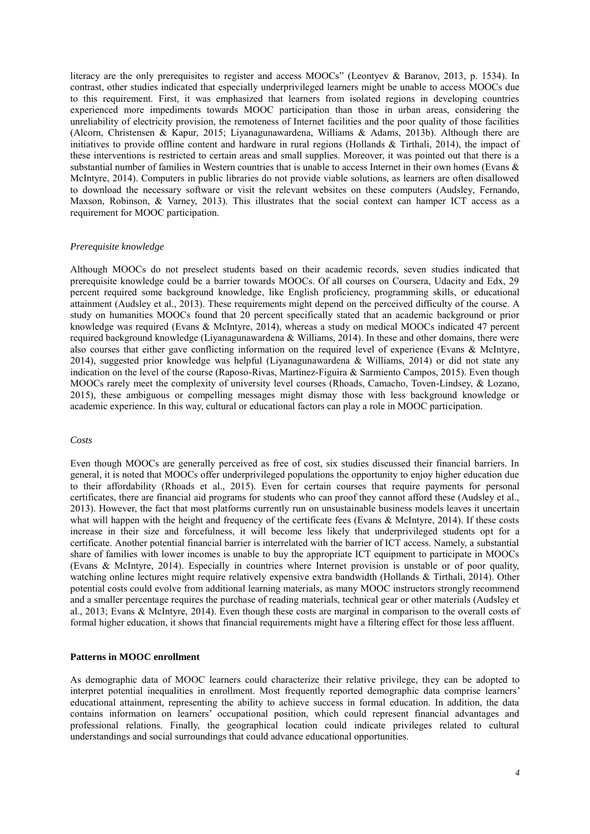literacy are the only prerequisites to register and access MOOCs" (Leontyev & Baranov, 2013, p. 1534). In contrast, other studies indicated that especially underprivileged learners might be unable to access MOOCs due to this requirement. First, it was emphasized that learners from isolated regions in developing countries experienced more impediments towards MOOC participation than those in urban areas, considering the unreliability of electricity provision, the remoteness of Internet facilities and the poor quality of those facilities (Alcorn, Christensen & Kapur, 2015; Liyanagunawardena, Williams & Adams, 2013b). Although there are initiatives to provide offline content and hardware in rural regions (Hollands & Tirthali, 2014), the impact of these interventions is restricted to certain areas and small supplies. Moreover, it was pointed out that there is a substantial number of families in Western countries that is unable to access Internet in their own homes (Evans & McIntyre, 2014). Computers in public libraries do not provide viable solutions, as learners are often disallowed to download the necessary software or visit the relevant websites on these computers (Audsley, Fernando, Maxson, Robinson, & Varney, 2013). This illustrates that the social context can hamper ICT access as a requirement for MOOC participation.

#### *Prerequisite knowledge*

Although MOOCs do not preselect students based on their academic records, seven studies indicated that prerequisite knowledge could be a barrier towards MOOCs. Of all courses on Coursera, Udacity and Edx, 29 percent required some background knowledge, like English proficiency, programming skills, or educational attainment (Audsley et al., 2013). These requirements might depend on the perceived difficulty of the course. A study on humanities MOOCs found that 20 percent specifically stated that an academic background or prior knowledge was required (Evans & McIntyre, 2014), whereas a study on medical MOOCs indicated 47 percent required background knowledge (Liyanagunawardena & Williams, 2014). In these and other domains, there were also courses that either gave conflicting information on the required level of experience (Evans & McIntyre, 2014), suggested prior knowledge was helpful (Liyanagunawardena & Williams, 2014) or did not state any indication on the level of the course (Raposo-Rivas, Martínez-Figuira & Sarmiento Campos, 2015). Even though MOOCs rarely meet the complexity of university level courses (Rhoads, Camacho, Toven-Lindsey, & Lozano, 2015), these ambiguous or compelling messages might dismay those with less background knowledge or academic experience. In this way, cultural or educational factors can play a role in MOOC participation.

### *Costs*

Even though MOOCs are generally perceived as free of cost, six studies discussed their financial barriers. In general, it is noted that MOOCs offer underprivileged populations the opportunity to enjoy higher education due to their affordability (Rhoads et al., 2015). Even for certain courses that require payments for personal certificates, there are financial aid programs for students who can proof they cannot afford these (Audsley et al., 2013). However, the fact that most platforms currently run on unsustainable business models leaves it uncertain what will happen with the height and frequency of the certificate fees (Evans & McIntyre, 2014). If these costs increase in their size and forcefulness, it will become less likely that underprivileged students opt for a certificate. Another potential financial barrier is interrelated with the barrier of ICT access. Namely, a substantial share of families with lower incomes is unable to buy the appropriate ICT equipment to participate in MOOCs (Evans & McIntyre, 2014). Especially in countries where Internet provision is unstable or of poor quality, watching online lectures might require relatively expensive extra bandwidth (Hollands & Tirthali, 2014). Other potential costs could evolve from additional learning materials, as many MOOC instructors strongly recommend and a smaller percentage requires the purchase of reading materials, technical gear or other materials (Audsley et al., 2013; Evans & McIntyre, 2014). Even though these costs are marginal in comparison to the overall costs of formal higher education, it shows that financial requirements might have a filtering effect for those less affluent.

#### **Patterns in MOOC enrollment**

As demographic data of MOOC learners could characterize their relative privilege, they can be adopted to interpret potential inequalities in enrollment. Most frequently reported demographic data comprise learners' educational attainment, representing the ability to achieve success in formal education. In addition, the data contains information on learners' occupational position, which could represent financial advantages and professional relations. Finally, the geographical location could indicate privileges related to cultural understandings and social surroundings that could advance educational opportunities.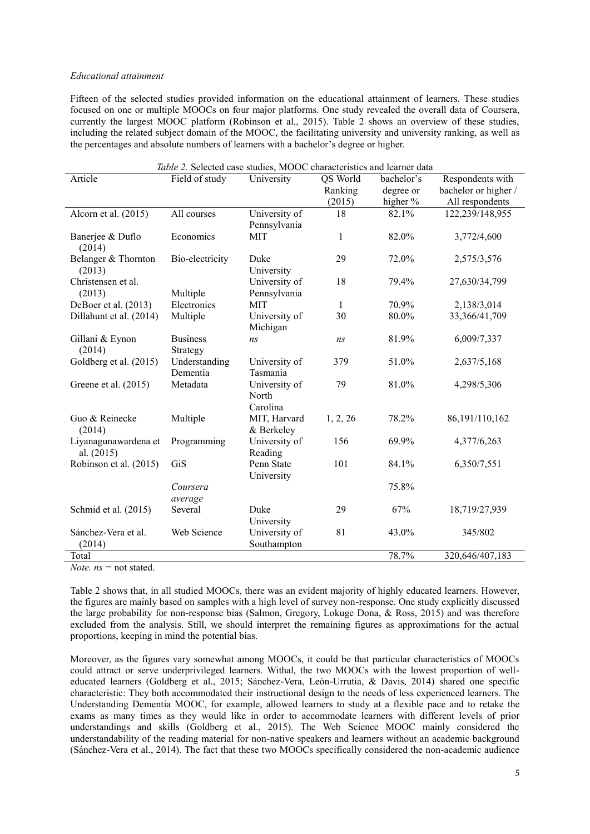#### *Educational attainment*

Fifteen of the selected studies provided information on the educational attainment of learners. These studies focused on one or multiple MOOCs on four major platforms. One study revealed the overall data of Coursera, currently the largest MOOC platform (Robinson et al., 2015). Table 2 shows an overview of these studies, including the related subject domain of the MOOC, the facilitating university and university ranking, as well as the percentages and absolute numbers of learners with a bachelor's degree or higher.

| Table 2. Selected case studies, MOOC characteristics and learner data |                             |                    |          |            |                      |  |
|-----------------------------------------------------------------------|-----------------------------|--------------------|----------|------------|----------------------|--|
| Article                                                               | Field of study              | University         | QS World | bachelor's | Respondents with     |  |
|                                                                       |                             |                    | Ranking  | degree or  | bachelor or higher / |  |
|                                                                       |                             |                    | (2015)   | higher %   | All respondents      |  |
| Alcorn et al. (2015)                                                  | All courses                 | University of      | 18       | 82.1%      | 122,239/148,955      |  |
|                                                                       |                             | Pennsylvania       |          |            |                      |  |
| Banerjee & Duflo<br>(2014)                                            | Economics                   | <b>MIT</b>         | 1        | 82.0%      | 3,772/4,600          |  |
| Belanger & Thornton<br>(2013)                                         | Bio-electricity             | Duke<br>University | 29       | 72.0%      | 2,575/3,576          |  |
| Christensen et al.                                                    |                             | University of      | 18       | 79.4%      | 27,630/34,799        |  |
| (2013)                                                                | Multiple                    | Pennsylvania       |          |            |                      |  |
| DeBoer et al. (2013)                                                  | Electronics                 | <b>MIT</b>         | 1        | 70.9%      | 2,138/3,014          |  |
| Dillahunt et al. (2014)                                               | Multiple                    | University of      | 30       | 80.0%      | 33,366/41,709        |  |
|                                                                       |                             | Michigan           |          |            |                      |  |
| Gillani & Eynon<br>(2014)                                             | <b>Business</b><br>Strategy | ns                 | ns       | 81.9%      | 6,009/7,337          |  |
| Goldberg et al. (2015)                                                | Understanding               | University of      | 379      | 51.0%      | 2,637/5,168          |  |
|                                                                       | Dementia                    | Tasmania           |          |            |                      |  |
| Greene et al. (2015)                                                  | Metadata                    | University of      | 79       | 81.0%      | 4,298/5,306          |  |
|                                                                       |                             | North<br>Carolina  |          |            |                      |  |
| Guo & Reinecke                                                        | Multiple                    | MIT, Harvard       | 1, 2, 26 | 78.2%      | 86,191/110,162       |  |
| (2014)                                                                |                             | & Berkeley         |          |            |                      |  |
| Liyanagunawardena et                                                  | Programming                 | University of      | 156      | 69.9%      | 4,377/6,263          |  |
| al. (2015)                                                            |                             | Reading            |          |            |                      |  |
| Robinson et al. (2015)                                                | GiS                         | Penn State         | 101      | 84.1%      | 6,350/7,551          |  |
|                                                                       |                             | University         |          |            |                      |  |
|                                                                       | Coursera                    |                    |          | 75.8%      |                      |  |
|                                                                       | average                     |                    |          |            |                      |  |
| Schmid et al. (2015)                                                  | Several                     | Duke               | 29       | 67%        | 18,719/27,939        |  |
|                                                                       |                             | University         |          |            |                      |  |
| Sánchez-Vera et al.                                                   | Web Science                 | University of      | 81       | 43.0%      | 345/802              |  |
| (2014)                                                                |                             | Southampton        |          |            |                      |  |
| Total                                                                 |                             |                    |          | 78.7%      | 320,646/407,183      |  |

*Note. ns* = not stated.

Table 2 shows that, in all studied MOOCs, there was an evident majority of highly educated learners. However, the figures are mainly based on samples with a high level of survey non-response. One study explicitly discussed the large probability for non-response bias (Salmon, Gregory, Lokuge Dona, & Ross, 2015) and was therefore excluded from the analysis. Still, we should interpret the remaining figures as approximations for the actual proportions, keeping in mind the potential bias.

Moreover, as the figures vary somewhat among MOOCs, it could be that particular characteristics of MOOCs could attract or serve underprivileged learners. Withal, the two MOOCs with the lowest proportion of welleducated learners (Goldberg et al., 2015; Sánchez-Vera, León-Urrutia, & Davis, 2014) shared one specific characteristic: They both accommodated their instructional design to the needs of less experienced learners. The Understanding Dementia MOOC, for example, allowed learners to study at a flexible pace and to retake the exams as many times as they would like in order to accommodate learners with different levels of prior understandings and skills (Goldberg et al., 2015). The Web Science MOOC mainly considered the understandability of the reading material for non-native speakers and learners without an academic background (Sánchez-Vera et al., 2014). The fact that these two MOOCs specifically considered the non-academic audience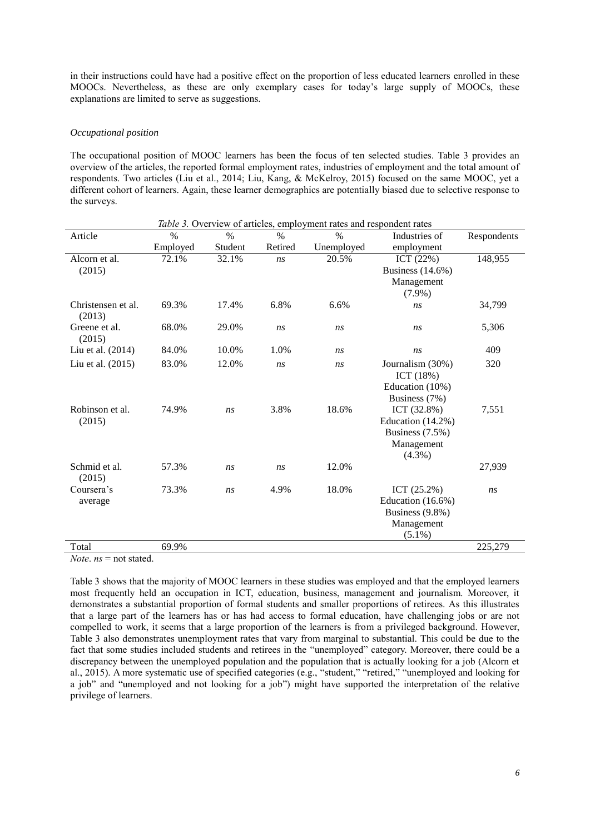in their instructions could have had a positive effect on the proportion of less educated learners enrolled in these MOOCs. Nevertheless, as these are only exemplary cases for today's large supply of MOOCs, these explanations are limited to serve as suggestions.

#### *Occupational position*

The occupational position of MOOC learners has been the focus of ten selected studies. Table 3 provides an overview of the articles, the reported formal employment rates, industries of employment and the total amount of respondents. Two articles (Liu et al., 2014; Liu, Kang, & McKelroy, 2015) focused on the same MOOC, yet a different cohort of learners. Again, these learner demographics are potentially biased due to selective response to the surveys.

| Table 3. Overview of articles, employment rates and respondent rates |          |               |               |               |                     |             |
|----------------------------------------------------------------------|----------|---------------|---------------|---------------|---------------------|-------------|
| Article                                                              | $\%$     | $\frac{0}{0}$ | $\frac{0}{0}$ | $\frac{0}{0}$ | Industries of       | Respondents |
|                                                                      | Employed | Student       | Retired       | Unemployed    | employment          |             |
| Alcorn et al.                                                        | 72.1%    | 32.1%         | ns            | 20.5%         | ICT $(22%)$         | 148,955     |
| (2015)                                                               |          |               |               |               | Business $(14.6\%)$ |             |
|                                                                      |          |               |               |               | Management          |             |
|                                                                      |          |               |               |               | $(7.9\%)$           |             |
| Christensen et al.<br>(2013)                                         | 69.3%    | 17.4%         | 6.8%          | 6.6%          | ns                  | 34,799      |
| Greene et al.<br>(2015)                                              | 68.0%    | 29.0%         | ns            | ns            | ns                  | 5,306       |
| Liu et al. $(2014)$                                                  | 84.0%    | 10.0%         | 1.0%          | ns            | ns                  | 409         |
| Liu et al. (2015)                                                    | 83.0%    | 12.0%         | ns            | ns            | Journalism (30%)    | 320         |
|                                                                      |          |               |               |               | ICT $(18%)$         |             |
|                                                                      |          |               |               |               | Education (10%)     |             |
|                                                                      |          |               |               |               | Business (7%)       |             |
| Robinson et al.                                                      | 74.9%    | ns            | 3.8%          | 18.6%         | ICT $(32.8\%)$      | 7,551       |
| (2015)                                                               |          |               |               |               | Education (14.2%)   |             |
|                                                                      |          |               |               |               | Business (7.5%)     |             |
|                                                                      |          |               |               |               | Management          |             |
|                                                                      |          |               |               |               | $(4.3\%)$           |             |
| Schmid et al.<br>(2015)                                              | 57.3%    | ns            | ns            | 12.0%         |                     | 27,939      |
| Coursera's                                                           | 73.3%    | ns            | 4.9%          | 18.0%         | ICT $(25.2\%)$      | ns          |
| average                                                              |          |               |               |               | Education (16.6%)   |             |
|                                                                      |          |               |               |               | Business (9.8%)     |             |
|                                                                      |          |               |               |               | Management          |             |
|                                                                      |          |               |               |               | $(5.1\%)$           |             |
| Total                                                                | 69.9%    |               |               |               |                     | 225,279     |
|                                                                      |          |               |               |               |                     |             |

*Note*. *ns* = not stated.

Table 3 shows that the majority of MOOC learners in these studies was employed and that the employed learners most frequently held an occupation in ICT, education, business, management and journalism. Moreover, it demonstrates a substantial proportion of formal students and smaller proportions of retirees. As this illustrates that a large part of the learners has or has had access to formal education, have challenging jobs or are not compelled to work, it seems that a large proportion of the learners is from a privileged background. However, Table 3 also demonstrates unemployment rates that vary from marginal to substantial. This could be due to the fact that some studies included students and retirees in the "unemployed" category. Moreover, there could be a discrepancy between the unemployed population and the population that is actually looking for a job (Alcorn et al., 2015). A more systematic use of specified categories (e.g., "student," "retired," "unemployed and looking for a job" and "unemployed and not looking for a job") might have supported the interpretation of the relative privilege of learners.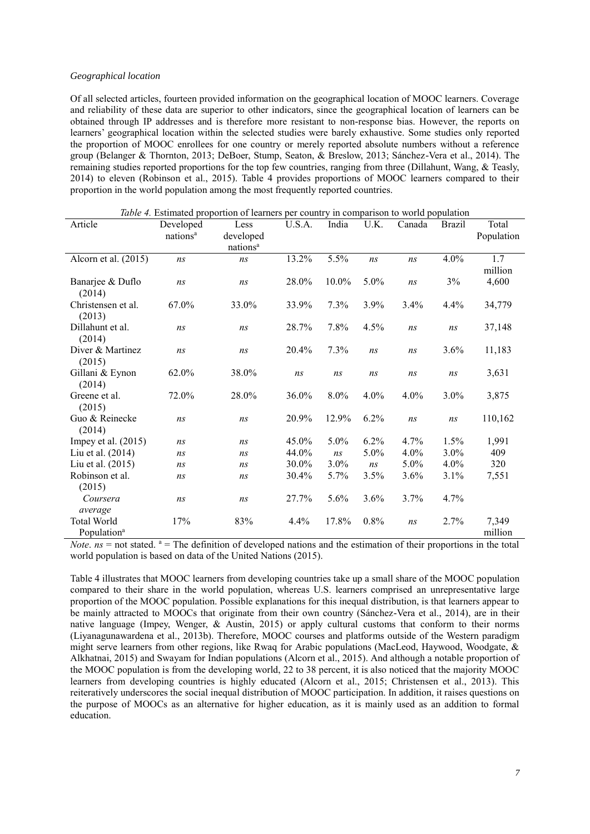#### *Geographical location*

Of all selected articles, fourteen provided information on the geographical location of MOOC learners. Coverage and reliability of these data are superior to other indicators, since the geographical location of learners can be obtained through IP addresses and is therefore more resistant to non-response bias. However, the reports on learners' geographical location within the selected studies were barely exhaustive. Some studies only reported the proportion of MOOC enrollees for one country or merely reported absolute numbers without a reference group (Belanger & Thornton, 2013; DeBoer, Stump, Seaton, & Breslow, 2013; Sánchez-Vera et al., 2014). The remaining studies reported proportions for the top few countries, ranging from three (Dillahunt, Wang, & Teasly, 2014) to eleven (Robinson et al., 2015). Table 4 provides proportions of MOOC learners compared to their proportion in the world population among the most frequently reported countries.

| Table 4. Estimated proportion of learners per country in comparison to world population |                      |                      |        |         |      |        |               |            |
|-----------------------------------------------------------------------------------------|----------------------|----------------------|--------|---------|------|--------|---------------|------------|
| Article                                                                                 | Developed            | Less                 | U.S.A. | India   | U.K. | Canada | <b>Brazil</b> | Total      |
|                                                                                         | nations <sup>a</sup> | developed            |        |         |      |        |               | Population |
|                                                                                         |                      | nations <sup>a</sup> |        |         |      |        |               |            |
| Alcorn et al. (2015)                                                                    | ns                   | ns                   | 13.2%  | 5.5%    | ns   | ns     | 4.0%          | 1.7        |
|                                                                                         |                      |                      |        |         |      |        |               | million    |
| Banarjee & Duflo                                                                        | ns                   | ns                   | 28.0%  | 10.0%   | 5.0% | ns     | 3%            | 4,600      |
| (2014)                                                                                  |                      |                      |        |         |      |        |               |            |
| Christensen et al.                                                                      | 67.0%                | 33.0%                | 33.9%  | 7.3%    | 3.9% | 3.4%   | 4.4%          | 34,779     |
| (2013)                                                                                  |                      |                      |        |         |      |        |               |            |
| Dillahunt et al.                                                                        | ns                   | ns                   | 28.7%  | 7.8%    | 4.5% | ns     | ns            | 37,148     |
| (2014)                                                                                  |                      |                      |        |         |      |        |               |            |
| Diver & Martinez                                                                        | ns                   | ns                   | 20.4%  | 7.3%    | ns   | ns     | 3.6%          | 11,183     |
| (2015)                                                                                  |                      |                      |        |         |      |        |               |            |
| Gillani & Eynon                                                                         | 62.0%                | 38.0%                | ns     | ns      | ns   | ns     | ns            | 3,631      |
| (2014)                                                                                  |                      |                      |        |         |      |        |               |            |
| Greene et al.                                                                           | 72.0%                | 28.0%                | 36.0%  | 8.0%    | 4.0% | 4.0%   | 3.0%          | 3,875      |
| (2015)                                                                                  |                      |                      |        |         |      |        |               |            |
| Guo & Reinecke                                                                          | ns                   | ns                   | 20.9%  | 12.9%   | 6.2% | ns     | ns            | 110,162    |
| (2014)                                                                                  |                      |                      |        |         |      |        |               |            |
| Impey et al. $(2015)$                                                                   | ns                   | ns                   | 45.0%  | 5.0%    | 6.2% | 4.7%   | 1.5%          | 1,991      |
| Liu et al. (2014)                                                                       | ns                   | ns                   | 44.0%  | ns      | 5.0% | 4.0%   | 3.0%          | 409        |
| Liu et al. (2015)                                                                       | ns                   | ns                   | 30.0%  | $3.0\%$ | ns   | 5.0%   | $4.0\%$       | 320        |
| Robinson et al.                                                                         | ns                   | ns                   | 30.4%  | 5.7%    | 3.5% | 3.6%   | 3.1%          | 7,551      |
| (2015)                                                                                  |                      |                      |        |         |      |        |               |            |
| Coursera                                                                                | ns                   | ns                   | 27.7%  | 5.6%    | 3.6% | 3.7%   | 4.7%          |            |
| average                                                                                 |                      |                      |        |         |      |        |               |            |
| <b>Total World</b>                                                                      | 17%                  | 83%                  | 4.4%   | 17.8%   | 0.8% | ns     | 2.7%          | 7,349      |
| Population <sup>a</sup>                                                                 |                      |                      |        |         |      |        |               | million    |

*Note*.  $ns =$  not stated.  $a =$  The definition of developed nations and the estimation of their proportions in the total world population is based on data of the United Nations (2015).

Table 4 illustrates that MOOC learners from developing countries take up a small share of the MOOC population compared to their share in the world population, whereas U.S. learners comprised an unrepresentative large proportion of the MOOC population. Possible explanations for this inequal distribution, is that learners appear to be mainly attracted to MOOCs that originate from their own country (Sánchez-Vera et al., 2014), are in their native language (Impey, Wenger, & Austin, 2015) or apply cultural customs that conform to their norms (Liyanagunawardena et al., 2013b). Therefore, MOOC courses and platforms outside of the Western paradigm might serve learners from other regions, like Rwaq for Arabic populations (MacLeod, Haywood, Woodgate, & Alkhatnai, 2015) and Swayam for Indian populations (Alcorn et al., 2015). And although a notable proportion of the MOOC population is from the developing world, 22 to 38 percent, it is also noticed that the majority MOOC learners from developing countries is highly educated (Alcorn et al., 2015; Christensen et al., 2013). This reiteratively underscores the social inequal distribution of MOOC participation. In addition, it raises questions on the purpose of MOOCs as an alternative for higher education, as it is mainly used as an addition to formal education.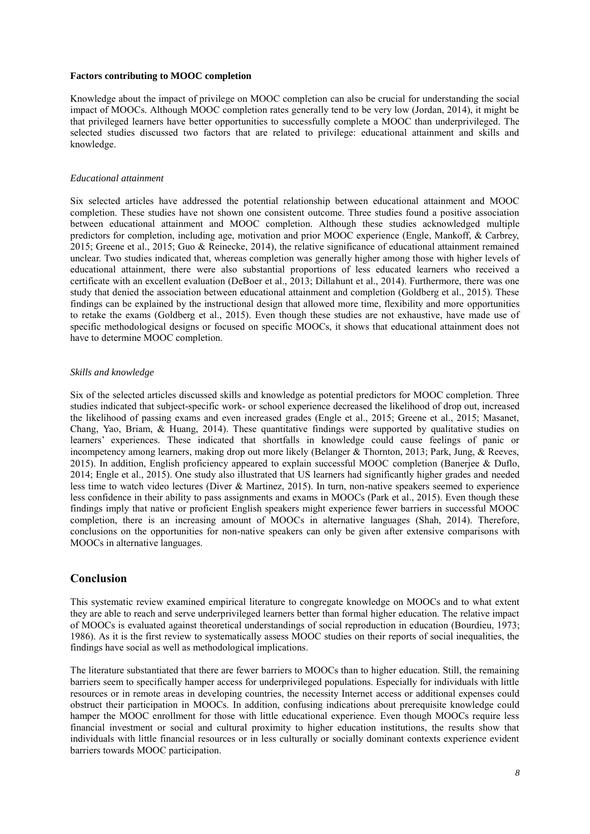### **Factors contributing to MOOC completion**

Knowledge about the impact of privilege on MOOC completion can also be crucial for understanding the social impact of MOOCs. Although MOOC completion rates generally tend to be very low (Jordan, 2014), it might be that privileged learners have better opportunities to successfully complete a MOOC than underprivileged. The selected studies discussed two factors that are related to privilege: educational attainment and skills and knowledge.

#### *Educational attainment*

Six selected articles have addressed the potential relationship between educational attainment and MOOC completion. These studies have not shown one consistent outcome. Three studies found a positive association between educational attainment and MOOC completion. Although these studies acknowledged multiple predictors for completion, including age, motivation and prior MOOC experience (Engle, Mankoff, & Carbrey, 2015; Greene et al., 2015; Guo & Reinecke, 2014), the relative significance of educational attainment remained unclear. Two studies indicated that, whereas completion was generally higher among those with higher levels of educational attainment, there were also substantial proportions of less educated learners who received a certificate with an excellent evaluation (DeBoer et al., 2013; Dillahunt et al., 2014). Furthermore, there was one study that denied the association between educational attainment and completion (Goldberg et al., 2015). These findings can be explained by the instructional design that allowed more time, flexibility and more opportunities to retake the exams (Goldberg et al., 2015). Even though these studies are not exhaustive, have made use of specific methodological designs or focused on specific MOOCs, it shows that educational attainment does not have to determine MOOC completion.

#### *Skills and knowledge*

Six of the selected articles discussed skills and knowledge as potential predictors for MOOC completion. Three studies indicated that subject-specific work- or school experience decreased the likelihood of drop out, increased the likelihood of passing exams and even increased grades (Engle et al., 2015; Greene et al., 2015; Masanet, Chang, Yao, Briam, & Huang, 2014). These quantitative findings were supported by qualitative studies on learners' experiences. These indicated that shortfalls in knowledge could cause feelings of panic or incompetency among learners, making drop out more likely (Belanger & Thornton, 2013; Park, Jung, & Reeves, 2015). In addition, English proficiency appeared to explain successful MOOC completion (Banerjee & Duflo, 2014; Engle et al., 2015). One study also illustrated that US learners had significantly higher grades and needed less time to watch video lectures (Diver & Martinez, 2015). In turn, non-native speakers seemed to experience less confidence in their ability to pass assignments and exams in MOOCs (Park et al., 2015). Even though these findings imply that native or proficient English speakers might experience fewer barriers in successful MOOC completion, there is an increasing amount of MOOCs in alternative languages (Shah, 2014). Therefore, conclusions on the opportunities for non-native speakers can only be given after extensive comparisons with MOOCs in alternative languages.

## **Conclusion**

This systematic review examined empirical literature to congregate knowledge on MOOCs and to what extent they are able to reach and serve underprivileged learners better than formal higher education. The relative impact of MOOCs is evaluated against theoretical understandings of social reproduction in education (Bourdieu, 1973; 1986). As it is the first review to systematically assess MOOC studies on their reports of social inequalities, the findings have social as well as methodological implications.

The literature substantiated that there are fewer barriers to MOOCs than to higher education. Still, the remaining barriers seem to specifically hamper access for underprivileged populations. Especially for individuals with little resources or in remote areas in developing countries, the necessity Internet access or additional expenses could obstruct their participation in MOOCs. In addition, confusing indications about prerequisite knowledge could hamper the MOOC enrollment for those with little educational experience. Even though MOOCs require less financial investment or social and cultural proximity to higher education institutions, the results show that individuals with little financial resources or in less culturally or socially dominant contexts experience evident barriers towards MOOC participation.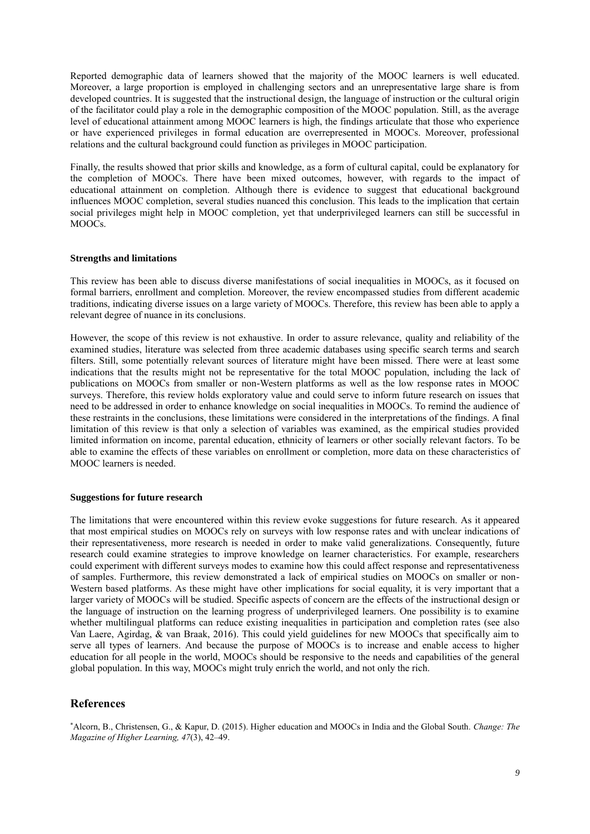Reported demographic data of learners showed that the majority of the MOOC learners is well educated. Moreover, a large proportion is employed in challenging sectors and an unrepresentative large share is from developed countries. It is suggested that the instructional design, the language of instruction or the cultural origin of the facilitator could play a role in the demographic composition of the MOOC population. Still, as the average level of educational attainment among MOOC learners is high, the findings articulate that those who experience or have experienced privileges in formal education are overrepresented in MOOCs. Moreover, professional relations and the cultural background could function as privileges in MOOC participation.

Finally, the results showed that prior skills and knowledge, as a form of cultural capital, could be explanatory for the completion of MOOCs. There have been mixed outcomes, however, with regards to the impact of educational attainment on completion. Although there is evidence to suggest that educational background influences MOOC completion, several studies nuanced this conclusion. This leads to the implication that certain social privileges might help in MOOC completion, yet that underprivileged learners can still be successful in MOOCs.

#### **Strengths and limitations**

This review has been able to discuss diverse manifestations of social inequalities in MOOCs, as it focused on formal barriers, enrollment and completion. Moreover, the review encompassed studies from different academic traditions, indicating diverse issues on a large variety of MOOCs. Therefore, this review has been able to apply a relevant degree of nuance in its conclusions.

However, the scope of this review is not exhaustive. In order to assure relevance, quality and reliability of the examined studies, literature was selected from three academic databases using specific search terms and search filters. Still, some potentially relevant sources of literature might have been missed. There were at least some indications that the results might not be representative for the total MOOC population, including the lack of publications on MOOCs from smaller or non-Western platforms as well as the low response rates in MOOC surveys. Therefore, this review holds exploratory value and could serve to inform future research on issues that need to be addressed in order to enhance knowledge on social inequalities in MOOCs. To remind the audience of these restraints in the conclusions, these limitations were considered in the interpretations of the findings. A final limitation of this review is that only a selection of variables was examined, as the empirical studies provided limited information on income, parental education, ethnicity of learners or other socially relevant factors. To be able to examine the effects of these variables on enrollment or completion, more data on these characteristics of MOOC learners is needed.

#### **Suggestions for future research**

The limitations that were encountered within this review evoke suggestions for future research. As it appeared that most empirical studies on MOOCs rely on surveys with low response rates and with unclear indications of their representativeness, more research is needed in order to make valid generalizations. Consequently, future research could examine strategies to improve knowledge on learner characteristics. For example, researchers could experiment with different surveys modes to examine how this could affect response and representativeness of samples. Furthermore, this review demonstrated a lack of empirical studies on MOOCs on smaller or non-Western based platforms. As these might have other implications for social equality, it is very important that a larger variety of MOOCs will be studied. Specific aspects of concern are the effects of the instructional design or the language of instruction on the learning progress of underprivileged learners. One possibility is to examine whether multilingual platforms can reduce existing inequalities in participation and completion rates (see also Van Laere, Agirdag, & van Braak, 2016). This could yield guidelines for new MOOCs that specifically aim to serve all types of learners. And because the purpose of MOOCs is to increase and enable access to higher education for all people in the world, MOOCs should be responsive to the needs and capabilities of the general global population. In this way, MOOCs might truly enrich the world, and not only the rich.

## **References**

\*Alcorn, B., Christensen, G., & Kapur, D. (2015). Higher education and MOOCs in India and the Global South. *Change: The Magazine of Higher Learning, 47*(3), 42–49.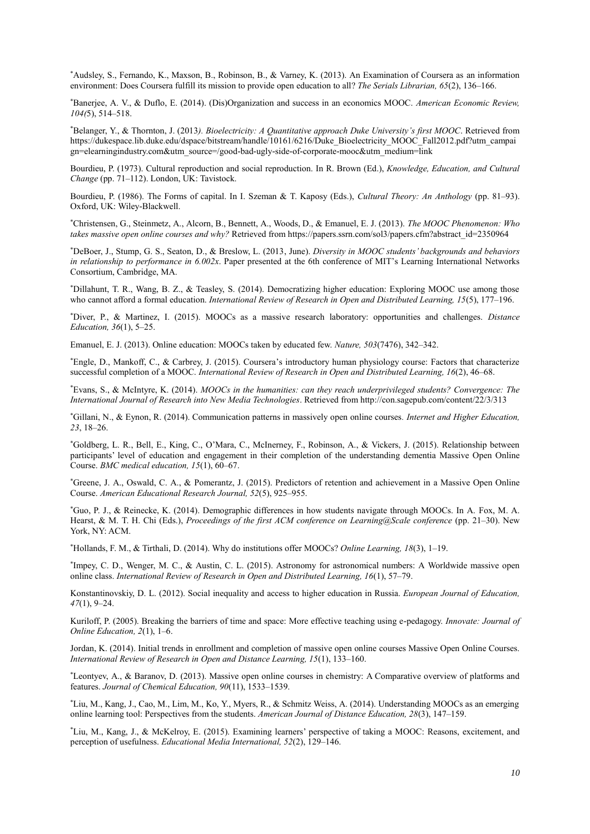\*Audsley, S., Fernando, K., Maxson, B., Robinson, B., & Varney, K. (2013). An Examination of Coursera as an information environment: Does Coursera fulfill its mission to provide open education to all? *The Serials Librarian, 65*(2), 136–166.

\*Banerjee, A. V., & Duflo, E. (2014). (Dis)Organization and success in an economics MOOC. *American Economic Review, 104(*5), 514–518.

\*Belanger, Y., & Thornton, J. (2013*). Bioelectricity: A Quantitative approach Duke University's first MOOC*. Retrieved from https://dukespace.lib.duke.edu/dspace/bitstream/handle/10161/6216/Duke\_Bioelectricity\_MOOC\_Fall2012.pdf?utm\_campai gn=elearningindustry.com&utm\_source=/good-bad-ugly-side-of-corporate-mooc&utm\_medium=link

Bourdieu, P. (1973). Cultural reproduction and social reproduction. In R. Brown (Ed.), *Knowledge, Education, and Cultural Change* (pp. 71–112). London, UK: Tavistock.

Bourdieu, P. (1986). The Forms of capital. In I. Szeman & T. Kaposy (Eds.), *Cultural Theory: An Anthology* (pp. 81–93). Oxford, UK: Wiley-Blackwell.

\*Christensen, G., Steinmetz, A., Alcorn, B., Bennett, A., Woods, D., & Emanuel, E. J. (2013). *The MOOC Phenomenon: Who takes massive open online courses and why?* Retrieved from https://papers.ssrn.com/sol3/papers.cfm?abstract\_id=2350964

\*DeBoer, J., Stump, G. S., Seaton, D., & Breslow, L. (2013, June). *Diversity in MOOC students' backgrounds and behaviors in relationship to performance in 6.002x*. Paper presented at the 6th conference of MIT's Learning International Networks Consortium, Cambridge, MA.

\*Dillahunt, T. R., Wang, B. Z., & Teasley, S. (2014). Democratizing higher education: Exploring MOOC use among those who cannot afford a formal education. *International Review of Research in Open and Distributed Learning, 15*(5), 177–196.

\*Diver, P., & Martinez, I. (2015). MOOCs as a massive research laboratory: opportunities and challenges. *Distance Education, 36*(1), 5–25.

Emanuel, E. J. (2013). Online education: MOOCs taken by educated few. *Nature, 503*(7476), 342–342.

\*Engle, D., Mankoff, C., & Carbrey, J. (2015). Coursera's introductory human physiology course: Factors that characterize successful completion of a MOOC. *International Review of Research in Open and Distributed Learning, 16*(2), 46–68.

\*Evans, S., & McIntyre, K. (2014). *MOOCs in the humanities: can they reach underprivileged students? Convergence: The International Journal of Research into New Media Technologies*. Retrieved from http://con.sagepub.com/content/22/3/313

\*Gillani, N., & Eynon, R. (2014). Communication patterns in massively open online courses*. Internet and Higher Education, 23*, 18–26.

\*Goldberg, L. R., Bell, E., King, C., O'Mara, C., McInerney, F., Robinson, A., & Vickers, J. (2015). Relationship between participants' level of education and engagement in their completion of the understanding dementia Massive Open Online Course. *BMC medical education, 15*(1), 60–67.

\*Greene, J. A., Oswald, C. A., & Pomerantz, J. (2015). Predictors of retention and achievement in a Massive Open Online Course. *American Educational Research Journal, 52*(5), 925–955.

\*Guo, P. J., & Reinecke, K. (2014). Demographic differences in how students navigate through MOOCs. In A. Fox, M. A. Hearst, & M. T. H. Chi (Eds.), *Proceedings of the first ACM conference on Learning@Scale conference* (pp. 21–30). New York, NY: ACM.

\*Hollands, F. M., & Tirthali, D. (2014). Why do institutions offer MOOCs? *Online Learning, 18*(3), 1–19.

\* Impey, C. D., Wenger, M. C., & Austin, C. L. (2015). Astronomy for astronomical numbers: A Worldwide massive open online class. *International Review of Research in Open and Distributed Learning, 16*(1), 57–79.

Konstantinovskiy, D. L. (2012). Social inequality and access to higher education in Russia. *European Journal of Education, 47*(1), 9–24.

Kuriloff, P. (2005). Breaking the barriers of time and space: More effective teaching using e-pedagogy. *Innovate: Journal of Online Education, 2*(1), 1–6.

Jordan, K. (2014). Initial trends in enrollment and completion of massive open online courses Massive Open Online Courses. *International Review of Research in Open and Distance Learning, 15*(1), 133–160.

\*Leontyev, A., & Baranov, D. (2013). Massive open online courses in chemistry: A Comparative overview of platforms and features. *Journal of Chemical Education, 90*(11), 1533–1539.

\*Liu, M., Kang, J., Cao, M., Lim, M., Ko, Y., Myers, R., & Schmitz Weiss, A. (2014). Understanding MOOCs as an emerging online learning tool: Perspectives from the students. *American Journal of Distance Education, 28*(3), 147–159.

\*Liu, M., Kang, J., & McKelroy, E. (2015). Examining learners' perspective of taking a MOOC: Reasons, excitement, and perception of usefulness. *Educational Media International, 52*(2), 129–146.